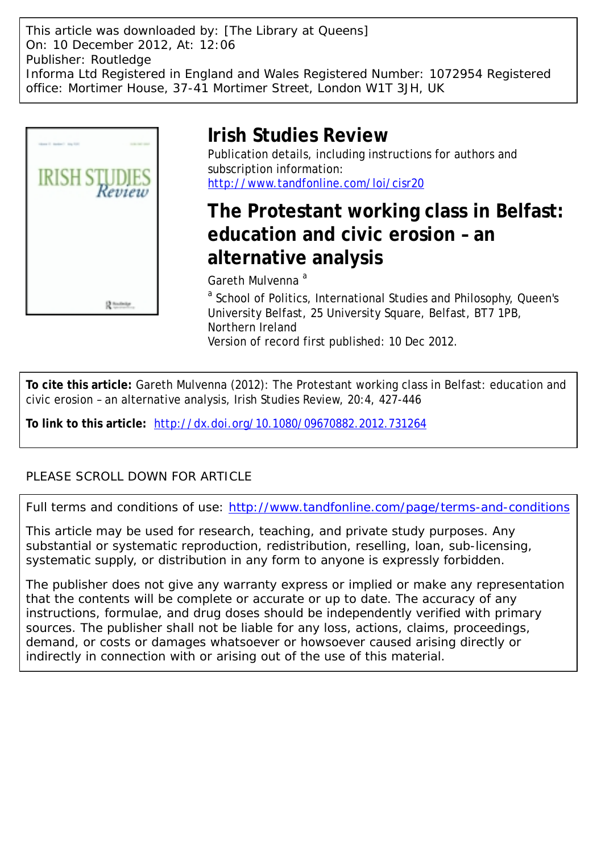This article was downloaded by: [The Library at Queens] On: 10 December 2012, At: 12:06 Publisher: Routledge Informa Ltd Registered in England and Wales Registered Number: 1072954 Registered office: Mortimer House, 37-41 Mortimer Street, London W1T 3JH, UK



## **Irish Studies Review**

Publication details, including instructions for authors and subscription information: <http://www.tandfonline.com/loi/cisr20>

# **The Protestant working class in Belfast: education and civic erosion – an alternative analysis**

Gareth Mulvenna<sup>a</sup>

<sup>a</sup> School of Politics, International Studies and Philosophy, Queen's University Belfast, 25 University Square, Belfast, BT7 1PB, Northern Ireland Version of record first published: 10 Dec 2012.

**To cite this article:** Gareth Mulvenna (2012): The Protestant working class in Belfast: education and civic erosion – an alternative analysis, Irish Studies Review, 20:4, 427-446

**To link to this article:** <http://dx.doi.org/10.1080/09670882.2012.731264>

### PLEASE SCROLL DOWN FOR ARTICLE

Full terms and conditions of use:<http://www.tandfonline.com/page/terms-and-conditions>

This article may be used for research, teaching, and private study purposes. Any substantial or systematic reproduction, redistribution, reselling, loan, sub-licensing, systematic supply, or distribution in any form to anyone is expressly forbidden.

The publisher does not give any warranty express or implied or make any representation that the contents will be complete or accurate or up to date. The accuracy of any instructions, formulae, and drug doses should be independently verified with primary sources. The publisher shall not be liable for any loss, actions, claims, proceedings, demand, or costs or damages whatsoever or howsoever caused arising directly or indirectly in connection with or arising out of the use of this material.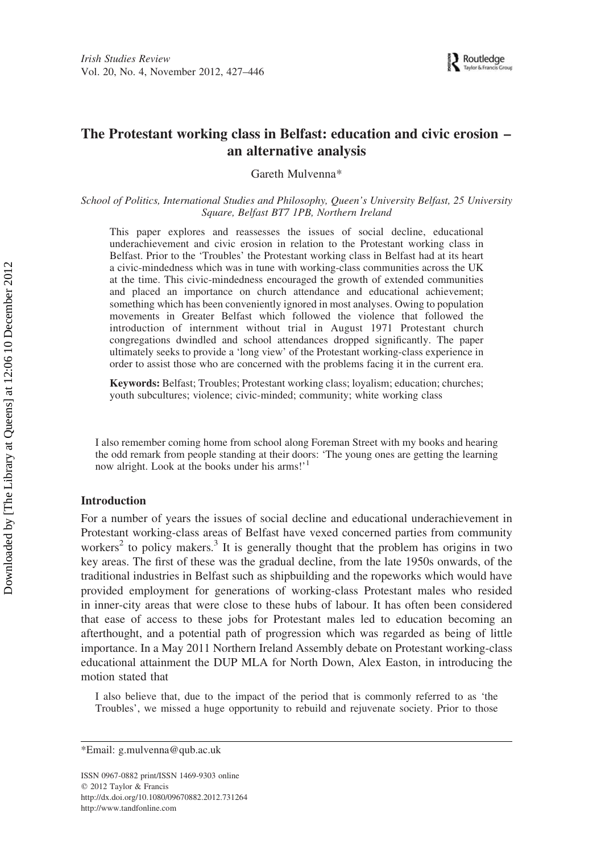### The Protestant working class in Belfast: education and civic erosion – an alternative analysis

Gareth Mulvenna\*

#### School of Politics, International Studies and Philosophy, Queen's University Belfast, 25 University Square, Belfast BT7 1PB, Northern Ireland

This paper explores and reassesses the issues of social decline, educational underachievement and civic erosion in relation to the Protestant working class in Belfast. Prior to the 'Troubles' the Protestant working class in Belfast had at its heart a civic-mindedness which was in tune with working-class communities across the UK at the time. This civic-mindedness encouraged the growth of extended communities and placed an importance on church attendance and educational achievement; something which has been conveniently ignored in most analyses. Owing to population movements in Greater Belfast which followed the violence that followed the introduction of internment without trial in August 1971 Protestant church congregations dwindled and school attendances dropped significantly. The paper ultimately seeks to provide a 'long view' of the Protestant working-class experience in order to assist those who are concerned with the problems facing it in the current era.

Keywords: Belfast; Troubles; Protestant working class; loyalism; education; churches; youth subcultures; violence; civic-minded; community; white working class

I also remember coming home from school along Foreman Street with my books and hearing the odd remark from people standing at their doors: 'The young ones are getting the learning now alright. Look at the books under his arms!'<sup>1</sup>

#### Introduction

For a number of years the issues of social decline and educational underachievement in Protestant working-class areas of Belfast have vexed concerned parties from community workers<sup>2</sup> to policy makers.<sup>3</sup> It is generally thought that the problem has origins in two key areas. The first of these was the gradual decline, from the late 1950s onwards, of the traditional industries in Belfast such as shipbuilding and the ropeworks which would have provided employment for generations of working-class Protestant males who resided in inner-city areas that were close to these hubs of labour. It has often been considered that ease of access to these jobs for Protestant males led to education becoming an afterthought, and a potential path of progression which was regarded as being of little importance. In a May 2011 Northern Ireland Assembly debate on Protestant working-class educational attainment the DUP MLA for North Down, Alex Easton, in introducing the motion stated that

I also believe that, due to the impact of the period that is commonly referred to as 'the Troubles', we missed a huge opportunity to rebuild and rejuvenate society. Prior to those

ISSN 0967-0882 print/ISSN 1469-9303 online  $© 2012 Taylor & Francis$ <http://dx.doi.org/10.1080/09670882.2012.731264> <http://www.tandfonline.com>

<sup>\*</sup>Email: g.mulvenna@qub.ac.uk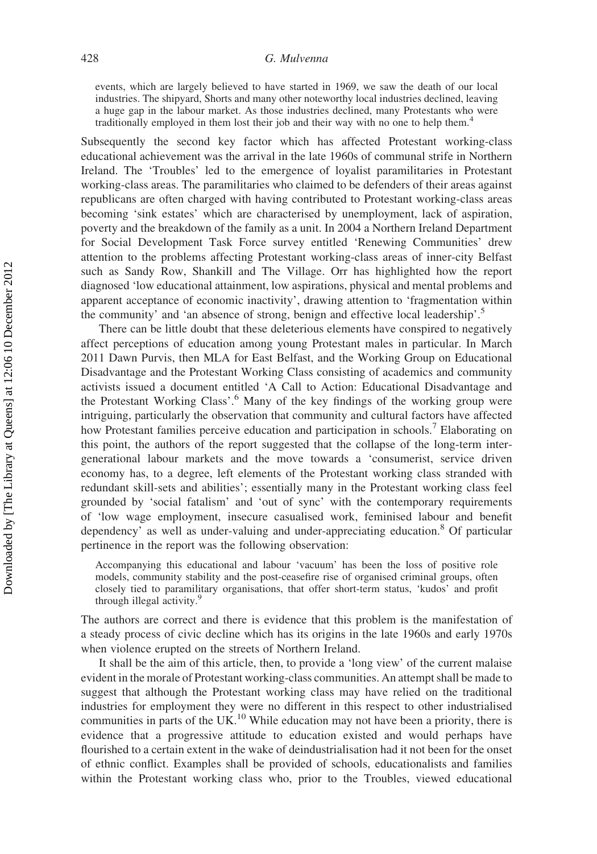#### 428 G. Mulvenna

events, which are largely believed to have started in 1969, we saw the death of our local industries. The shipyard, Shorts and many other noteworthy local industries declined, leaving a huge gap in the labour market. As those industries declined, many Protestants who were traditionally employed in them lost their job and their way with no one to help them.<sup>4</sup>

Subsequently the second key factor which has affected Protestant working-class educational achievement was the arrival in the late 1960s of communal strife in Northern Ireland. The 'Troubles' led to the emergence of loyalist paramilitaries in Protestant working-class areas. The paramilitaries who claimed to be defenders of their areas against republicans are often charged with having contributed to Protestant working-class areas becoming 'sink estates' which are characterised by unemployment, lack of aspiration, poverty and the breakdown of the family as a unit. In 2004 a Northern Ireland Department for Social Development Task Force survey entitled 'Renewing Communities' drew attention to the problems affecting Protestant working-class areas of inner-city Belfast such as Sandy Row, Shankill and The Village. Orr has highlighted how the report diagnosed 'low educational attainment, low aspirations, physical and mental problems and apparent acceptance of economic inactivity', drawing attention to 'fragmentation within the community' and 'an absence of strong, benign and effective local leadership'.<sup>5</sup>

There can be little doubt that these deleterious elements have conspired to negatively affect perceptions of education among young Protestant males in particular. In March 2011 Dawn Purvis, then MLA for East Belfast, and the Working Group on Educational Disadvantage and the Protestant Working Class consisting of academics and community activists issued a document entitled 'A Call to Action: Educational Disadvantage and the Protestant Working Class'.<sup>6</sup> Many of the key findings of the working group were intriguing, particularly the observation that community and cultural factors have affected how Protestant families perceive education and participation in schools.<sup>7</sup> Elaborating on this point, the authors of the report suggested that the collapse of the long-term intergenerational labour markets and the move towards a 'consumerist, service driven economy has, to a degree, left elements of the Protestant working class stranded with redundant skill-sets and abilities'; essentially many in the Protestant working class feel grounded by 'social fatalism' and 'out of sync' with the contemporary requirements of 'low wage employment, insecure casualised work, feminised labour and benefit dependency' as well as under-valuing and under-appreciating education.<sup>8</sup> Of particular pertinence in the report was the following observation:

Accompanying this educational and labour 'vacuum' has been the loss of positive role models, community stability and the post-ceasefire rise of organised criminal groups, often closely tied to paramilitary organisations, that offer short-term status, 'kudos' and profit through illegal activity.<sup>9</sup>

The authors are correct and there is evidence that this problem is the manifestation of a steady process of civic decline which has its origins in the late 1960s and early 1970s when violence erupted on the streets of Northern Ireland.

It shall be the aim of this article, then, to provide a 'long view' of the current malaise evident in the morale of Protestant working-class communities. An attempt shall be made to suggest that although the Protestant working class may have relied on the traditional industries for employment they were no different in this respect to other industrialised communities in parts of the UK.<sup>10</sup> While education may not have been a priority, there is evidence that a progressive attitude to education existed and would perhaps have flourished to a certain extent in the wake of deindustrialisation had it not been for the onset of ethnic conflict. Examples shall be provided of schools, educationalists and families within the Protestant working class who, prior to the Troubles, viewed educational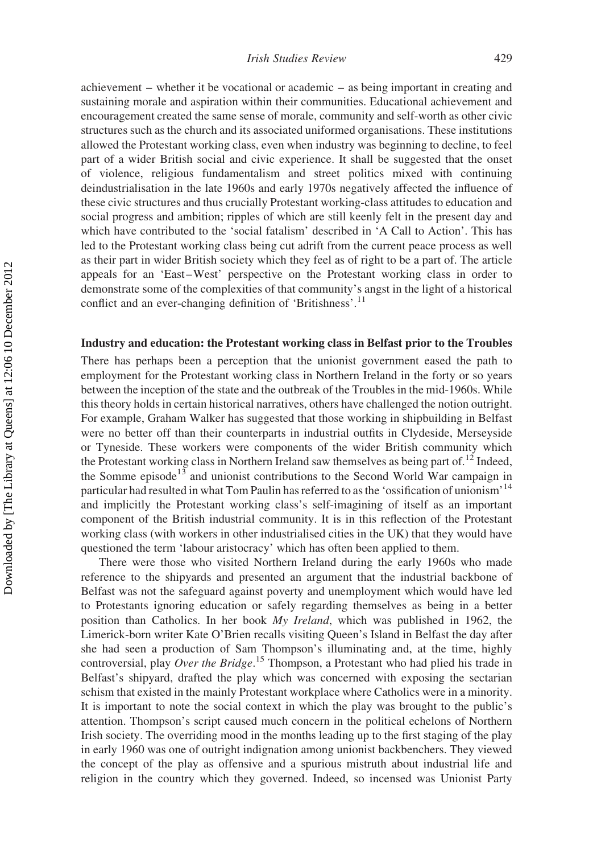achievement – whether it be vocational or academic – as being important in creating and sustaining morale and aspiration within their communities. Educational achievement and encouragement created the same sense of morale, community and self-worth as other civic structures such as the church and its associated uniformed organisations. These institutions allowed the Protestant working class, even when industry was beginning to decline, to feel part of a wider British social and civic experience. It shall be suggested that the onset of violence, religious fundamentalism and street politics mixed with continuing deindustrialisation in the late 1960s and early 1970s negatively affected the influence of these civic structures and thus crucially Protestant working-class attitudes to education and social progress and ambition; ripples of which are still keenly felt in the present day and which have contributed to the 'social fatalism' described in 'A Call to Action'. This has led to the Protestant working class being cut adrift from the current peace process as well as their part in wider British society which they feel as of right to be a part of. The article appeals for an 'East–West' perspective on the Protestant working class in order to demonstrate some of the complexities of that community's angst in the light of a historical conflict and an ever-changing definition of 'Britishness'.<sup>11</sup>

#### Industry and education: the Protestant working class in Belfast prior to the Troubles

There has perhaps been a perception that the unionist government eased the path to employment for the Protestant working class in Northern Ireland in the forty or so years between the inception of the state and the outbreak of the Troubles in the mid-1960s. While this theory holds in certain historical narratives, others have challenged the notion outright. For example, Graham Walker has suggested that those working in shipbuilding in Belfast were no better off than their counterparts in industrial outfits in Clydeside, Merseyside or Tyneside. These workers were components of the wider British community which the Protestant working class in Northern Ireland saw themselves as being part of.<sup>12</sup> Indeed, the Somme episode<sup>13</sup> and unionist contributions to the Second World War campaign in particular had resulted in what Tom Paulin has referred to as the 'ossification of unionism'<sup>14</sup> and implicitly the Protestant working class's self-imagining of itself as an important component of the British industrial community. It is in this reflection of the Protestant working class (with workers in other industrialised cities in the UK) that they would have questioned the term 'labour aristocracy' which has often been applied to them.

There were those who visited Northern Ireland during the early 1960s who made reference to the shipyards and presented an argument that the industrial backbone of Belfast was not the safeguard against poverty and unemployment which would have led to Protestants ignoring education or safely regarding themselves as being in a better position than Catholics. In her book My Ireland, which was published in 1962, the Limerick-born writer Kate O'Brien recalls visiting Queen's Island in Belfast the day after she had seen a production of Sam Thompson's illuminating and, at the time, highly controversial, play Over the Bridge.<sup>15</sup> Thompson, a Protestant who had plied his trade in Belfast's shipyard, drafted the play which was concerned with exposing the sectarian schism that existed in the mainly Protestant workplace where Catholics were in a minority. It is important to note the social context in which the play was brought to the public's attention. Thompson's script caused much concern in the political echelons of Northern Irish society. The overriding mood in the months leading up to the first staging of the play in early 1960 was one of outright indignation among unionist backbenchers. They viewed the concept of the play as offensive and a spurious mistruth about industrial life and religion in the country which they governed. Indeed, so incensed was Unionist Party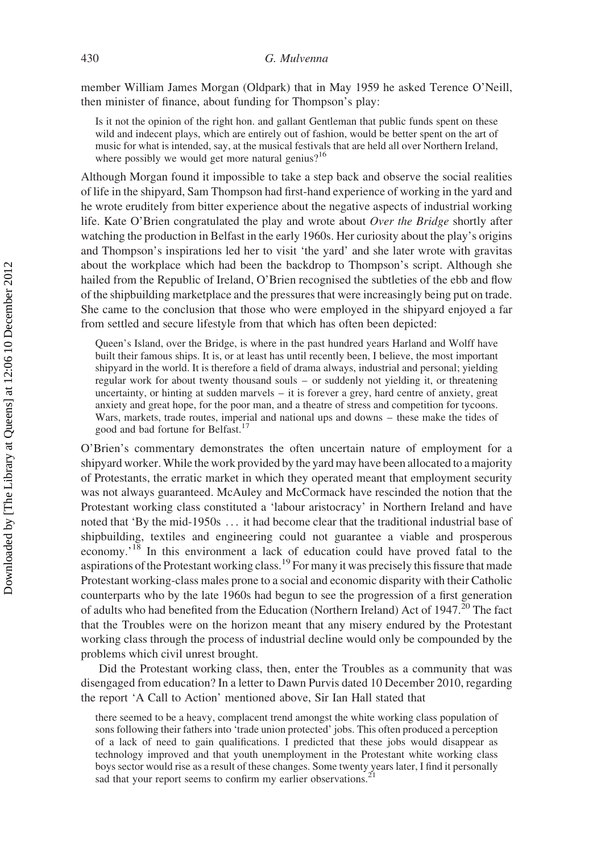member William James Morgan (Oldpark) that in May 1959 he asked Terence O'Neill, then minister of finance, about funding for Thompson's play:

Is it not the opinion of the right hon. and gallant Gentleman that public funds spent on these wild and indecent plays, which are entirely out of fashion, would be better spent on the art of music for what is intended, say, at the musical festivals that are held all over Northern Ireland, where possibly we would get more natural genius?<sup>16</sup>

Although Morgan found it impossible to take a step back and observe the social realities of life in the shipyard, Sam Thompson had first-hand experience of working in the yard and he wrote eruditely from bitter experience about the negative aspects of industrial working life. Kate O'Brien congratulated the play and wrote about Over the Bridge shortly after watching the production in Belfast in the early 1960s. Her curiosity about the play's origins and Thompson's inspirations led her to visit 'the yard' and she later wrote with gravitas about the workplace which had been the backdrop to Thompson's script. Although she hailed from the Republic of Ireland, O'Brien recognised the subtleties of the ebb and flow of the shipbuilding marketplace and the pressures that were increasingly being put on trade. She came to the conclusion that those who were employed in the shipyard enjoyed a far from settled and secure lifestyle from that which has often been depicted:

Queen's Island, over the Bridge, is where in the past hundred years Harland and Wolff have built their famous ships. It is, or at least has until recently been, I believe, the most important shipyard in the world. It is therefore a field of drama always, industrial and personal; yielding regular work for about twenty thousand souls – or suddenly not yielding it, or threatening uncertainty, or hinting at sudden marvels – it is forever a grey, hard centre of anxiety, great anxiety and great hope, for the poor man, and a theatre of stress and competition for tycoons. Wars, markets, trade routes, imperial and national ups and downs – these make the tides of good and bad fortune for Belfast.<sup>17</sup>

O'Brien's commentary demonstrates the often uncertain nature of employment for a shipyard worker. While the work provided by the yard may have been allocated to a majority of Protestants, the erratic market in which they operated meant that employment security was not always guaranteed. McAuley and McCormack have rescinded the notion that the Protestant working class constituted a 'labour aristocracy' in Northern Ireland and have noted that 'By the mid-1950s ... it had become clear that the traditional industrial base of shipbuilding, textiles and engineering could not guarantee a viable and prosperous economy.'<sup>18</sup> In this environment a lack of education could have proved fatal to the aspirations of the Protestant working class.<sup>19</sup> For many it was precisely this fissure that made Protestant working-class males prone to a social and economic disparity with their Catholic counterparts who by the late 1960s had begun to see the progression of a first generation of adults who had benefited from the Education (Northern Ireland) Act of 1947.<sup>20</sup> The fact that the Troubles were on the horizon meant that any misery endured by the Protestant working class through the process of industrial decline would only be compounded by the problems which civil unrest brought.

Did the Protestant working class, then, enter the Troubles as a community that was disengaged from education? In a letter to Dawn Purvis dated 10 December 2010, regarding the report 'A Call to Action' mentioned above, Sir Ian Hall stated that

there seemed to be a heavy, complacent trend amongst the white working class population of sons following their fathers into 'trade union protected' jobs. This often produced a perception of a lack of need to gain qualifications. I predicted that these jobs would disappear as technology improved and that youth unemployment in the Protestant white working class boys sector would rise as a result of these changes. Some twenty years later, I find it personally sad that your report seems to confirm my earlier observations.<sup>21</sup>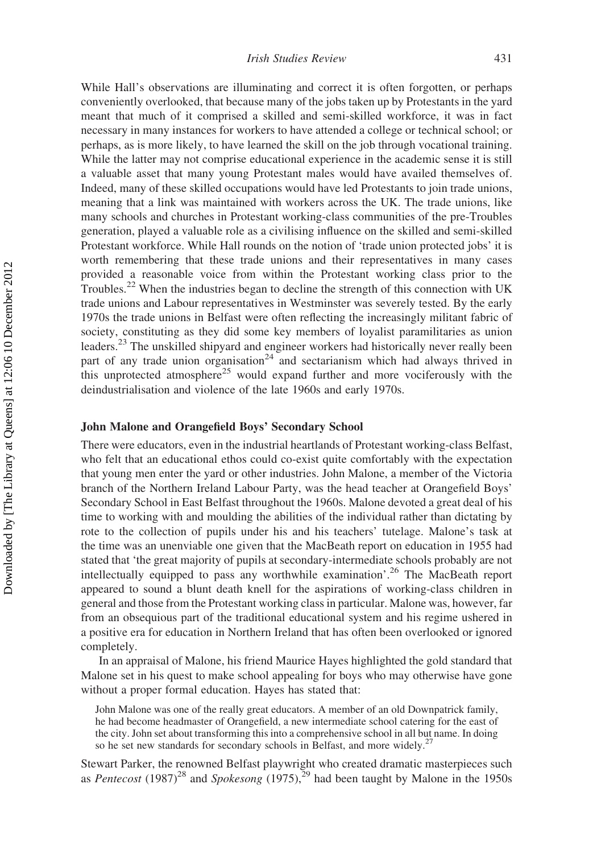While Hall's observations are illuminating and correct it is often forgotten, or perhaps conveniently overlooked, that because many of the jobs taken up by Protestants in the yard meant that much of it comprised a skilled and semi-skilled workforce, it was in fact necessary in many instances for workers to have attended a college or technical school; or perhaps, as is more likely, to have learned the skill on the job through vocational training. While the latter may not comprise educational experience in the academic sense it is still a valuable asset that many young Protestant males would have availed themselves of. Indeed, many of these skilled occupations would have led Protestants to join trade unions, meaning that a link was maintained with workers across the UK. The trade unions, like many schools and churches in Protestant working-class communities of the pre-Troubles generation, played a valuable role as a civilising influence on the skilled and semi-skilled Protestant workforce. While Hall rounds on the notion of 'trade union protected jobs' it is worth remembering that these trade unions and their representatives in many cases provided a reasonable voice from within the Protestant working class prior to the Troubles.<sup>22</sup> When the industries began to decline the strength of this connection with UK trade unions and Labour representatives in Westminster was severely tested. By the early 1970s the trade unions in Belfast were often reflecting the increasingly militant fabric of society, constituting as they did some key members of loyalist paramilitaries as union leaders.<sup>23</sup> The unskilled shipyard and engineer workers had historically never really been part of any trade union organisation<sup>24</sup> and sectarianism which had always thrived in this unprotected atmosphere<sup>25</sup> would expand further and more vociferously with the deindustrialisation and violence of the late 1960s and early 1970s.

#### John Malone and Orangefield Boys' Secondary School

There were educators, even in the industrial heartlands of Protestant working-class Belfast, who felt that an educational ethos could co-exist quite comfortably with the expectation that young men enter the yard or other industries. John Malone, a member of the Victoria branch of the Northern Ireland Labour Party, was the head teacher at Orangefield Boys' Secondary School in East Belfast throughout the 1960s. Malone devoted a great deal of his time to working with and moulding the abilities of the individual rather than dictating by rote to the collection of pupils under his and his teachers' tutelage. Malone's task at the time was an unenviable one given that the MacBeath report on education in 1955 had stated that 'the great majority of pupils at secondary-intermediate schools probably are not intellectually equipped to pass any worthwhile examination'.<sup>26</sup> The MacBeath report appeared to sound a blunt death knell for the aspirations of working-class children in general and those from the Protestant working class in particular. Malone was, however, far from an obsequious part of the traditional educational system and his regime ushered in a positive era for education in Northern Ireland that has often been overlooked or ignored completely.

In an appraisal of Malone, his friend Maurice Hayes highlighted the gold standard that Malone set in his quest to make school appealing for boys who may otherwise have gone without a proper formal education. Hayes has stated that:

John Malone was one of the really great educators. A member of an old Downpatrick family, he had become headmaster of Orangefield, a new intermediate school catering for the east of the city. John set about transforming this into a comprehensive school in all but name. In doing so he set new standards for secondary schools in Belfast, and more widely.<sup>27</sup>

Stewart Parker, the renowned Belfast playwright who created dramatic masterpieces such as Pentecost (1987)<sup>28</sup> and Spokesong (1975),<sup>29</sup> had been taught by Malone in the 1950s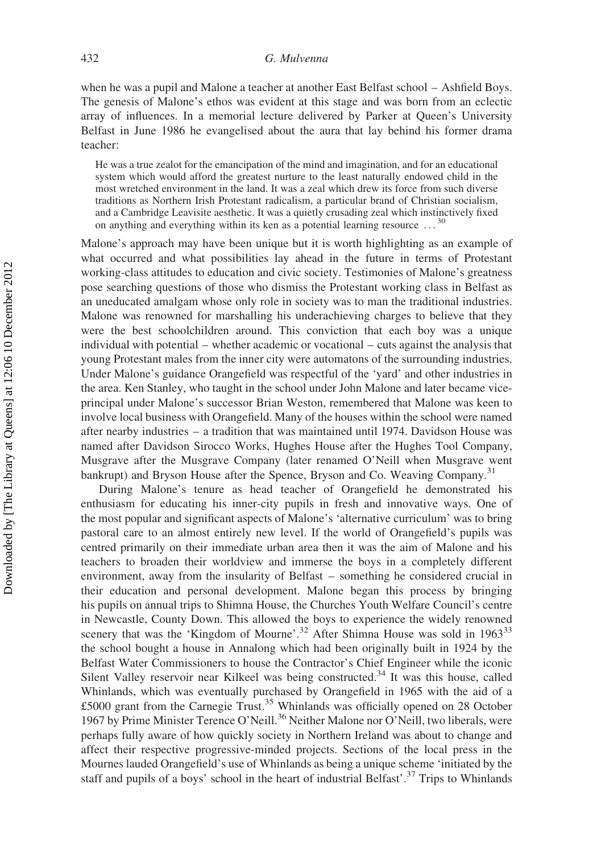when he was a pupil and Malone a teacher at another East Belfast school – Ashfield Boys. The genesis of Malone's ethos was evident at this stage and was born from an eclectic array of influences. In a memorial lecture delivered by Parker at Queen's University Belfast in June 1986 he evangelised about the aura that lay behind his former drama teacher:

He was a true zealot for the emancipation of the mind and imagination, and for an educational system which would afford the greatest nurture to the least naturally endowed child in the most wretched environment in the land. It was a zeal which drew its force from such diverse traditions as Northern Irish Protestant radicalism, a particular brand of Christian socialism, and a Cambridge Leavisite aesthetic. It was a quietly crusading zeal which instinctively fixed on anything and everything within its ken as a potential learning resource ...<sup>30</sup>

Malone's approach may have been unique but it is worth highlighting as an example of what occurred and what possibilities lay ahead in the future in terms of Protestant working-class attitudes to education and civic society. Testimonies of Malone's greatness pose searching questions of those who dismiss the Protestant working class in Belfast as an uneducated amalgam whose only role in society was to man the traditional industries. Malone was renowned for marshalling his underachieving charges to believe that they were the best schoolchildren around. This conviction that each boy was a unique individual with potential – whether academic or vocational – cuts against the analysis that young Protestant males from the inner city were automatons of the surrounding industries. Under Malone's guidance Orangefield was respectful of the 'yard' and other industries in the area. Ken Stanley, who taught in the school under John Malone and later became viceprincipal under Malone's successor Brian Weston, remembered that Malone was keen to involve local business with Orangefield. Many of the houses within the school were named after nearby industries – a tradition that was maintained until 1974. Davidson House was named after Davidson Sirocco Works, Hughes House after the Hughes Tool Company, Musgrave after the Musgrave Company (later renamed O'Neill when Musgrave went bankrupt) and Bryson House after the Spence, Bryson and Co. Weaving Company.<sup>31</sup>

During Malone's tenure as head teacher of Orangefield he demonstrated his enthusiasm for educating his inner-city pupils in fresh and innovative ways. One of the most popular and significant aspects of Malone's 'alternative curriculum' was to bring pastoral care to an almost entirely new level. If the world of Orangefield's pupils was centred primarily on their immediate urban area then it was the aim of Malone and his teachers to broaden their worldview and immerse the boys in a completely different environment, away from the insularity of Belfast – something he considered crucial in their education and personal development. Malone began this process by bringing his pupils on annual trips to Shimna House, the Churches Youth Welfare Council's centre in Newcastle, County Down. This allowed the boys to experience the widely renowned scenery that was the 'Kingdom of Mourne'.<sup>32</sup> After Shimna House was sold in  $1963^{33}$ the school bought a house in Annalong which had been originally built in 1924 by the Belfast Water Commissioners to house the Contractor's Chief Engineer while the iconic Silent Valley reservoir near Kilkeel was being constructed.<sup>34</sup> It was this house, called Whinlands, which was eventually purchased by Orangefield in 1965 with the aid of a £5000 grant from the Carnegie Trust.<sup>35</sup> Whinlands was officially opened on 28 October 1967 by Prime Minister Terence O'Neill.<sup>36</sup> Neither Malone nor O'Neill, two liberals, were perhaps fully aware of how quickly society in Northern Ireland was about to change and affect their respective progressive-minded projects. Sections of the local press in the Mournes lauded Orangefield's use of Whinlands as being a unique scheme 'initiated by the staff and pupils of a boys' school in the heart of industrial Belfast'.<sup>37</sup> Trips to Whinlands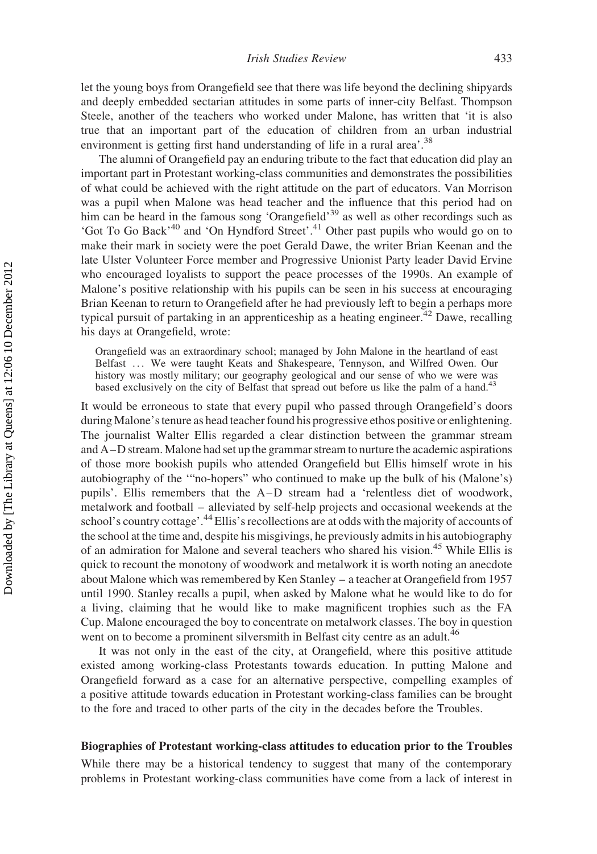let the young boys from Orangefield see that there was life beyond the declining shipyards and deeply embedded sectarian attitudes in some parts of inner-city Belfast. Thompson Steele, another of the teachers who worked under Malone, has written that 'it is also true that an important part of the education of children from an urban industrial environment is getting first hand understanding of life in a rural area'.<sup>38</sup>

The alumni of Orangefield pay an enduring tribute to the fact that education did play an important part in Protestant working-class communities and demonstrates the possibilities of what could be achieved with the right attitude on the part of educators. Van Morrison was a pupil when Malone was head teacher and the influence that this period had on him can be heard in the famous song 'Orangefield'<sup>39</sup> as well as other recordings such as 'Got To Go Back'<sup>40</sup> and 'On Hyndford Street'.<sup>41</sup> Other past pupils who would go on to make their mark in society were the poet Gerald Dawe, the writer Brian Keenan and the late Ulster Volunteer Force member and Progressive Unionist Party leader David Ervine who encouraged loyalists to support the peace processes of the 1990s. An example of Malone's positive relationship with his pupils can be seen in his success at encouraging Brian Keenan to return to Orangefield after he had previously left to begin a perhaps more typical pursuit of partaking in an apprenticeship as a heating engineer.<sup>42</sup> Dawe, recalling his days at Orangefield, wrote:

Orangefield was an extraordinary school; managed by John Malone in the heartland of east Belfast ... We were taught Keats and Shakespeare, Tennyson, and Wilfred Owen. Our history was mostly military; our geography geological and our sense of who we were was based exclusively on the city of Belfast that spread out before us like the palm of a hand.<sup>43</sup>

It would be erroneous to state that every pupil who passed through Orangefield's doors during Malone's tenure as head teacher found his progressive ethos positive or enlightening. The journalist Walter Ellis regarded a clear distinction between the grammar stream and A–D stream. Malone had set up the grammar stream to nurture the academic aspirations of those more bookish pupils who attended Orangefield but Ellis himself wrote in his autobiography of the '"no-hopers" who continued to make up the bulk of his (Malone's) pupils'. Ellis remembers that the A–D stream had a 'relentless diet of woodwork, metalwork and football – alleviated by self-help projects and occasional weekends at the school's country cottage'.<sup>44</sup> Ellis's recollections are at odds with the majority of accounts of the school at the time and, despite his misgivings, he previously admits in his autobiography of an admiration for Malone and several teachers who shared his vision.<sup>45</sup> While Ellis is quick to recount the monotony of woodwork and metalwork it is worth noting an anecdote about Malone which was remembered by Ken Stanley – a teacher at Orangefield from 1957 until 1990. Stanley recalls a pupil, when asked by Malone what he would like to do for a living, claiming that he would like to make magnificent trophies such as the FA Cup. Malone encouraged the boy to concentrate on metalwork classes. The boy in question went on to become a prominent silversmith in Belfast city centre as an adult.<sup>46</sup>

It was not only in the east of the city, at Orangefield, where this positive attitude existed among working-class Protestants towards education. In putting Malone and Orangefield forward as a case for an alternative perspective, compelling examples of a positive attitude towards education in Protestant working-class families can be brought to the fore and traced to other parts of the city in the decades before the Troubles.

#### Biographies of Protestant working-class attitudes to education prior to the Troubles

While there may be a historical tendency to suggest that many of the contemporary problems in Protestant working-class communities have come from a lack of interest in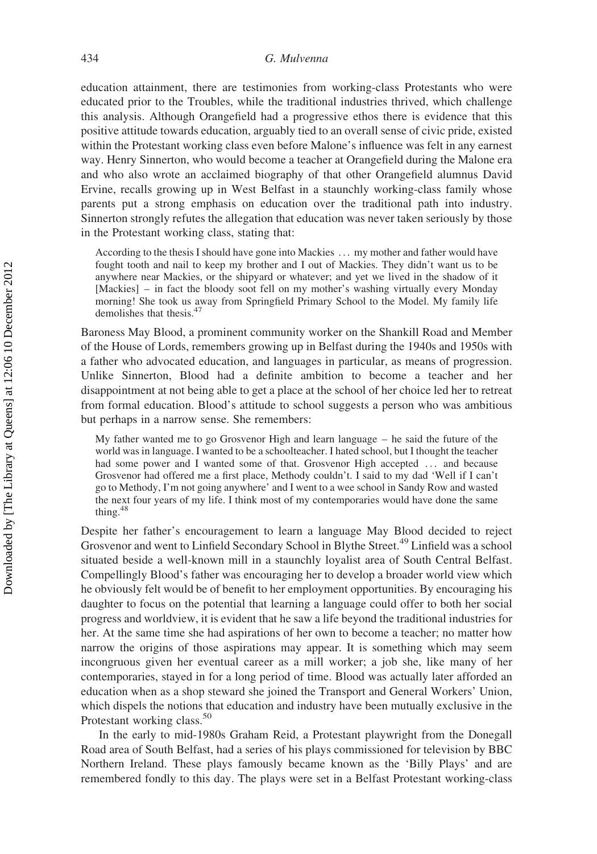#### 434 G. Mulvenna

education attainment, there are testimonies from working-class Protestants who were educated prior to the Troubles, while the traditional industries thrived, which challenge this analysis. Although Orangefield had a progressive ethos there is evidence that this positive attitude towards education, arguably tied to an overall sense of civic pride, existed within the Protestant working class even before Malone's influence was felt in any earnest way. Henry Sinnerton, who would become a teacher at Orangefield during the Malone era and who also wrote an acclaimed biography of that other Orangefield alumnus David Ervine, recalls growing up in West Belfast in a staunchly working-class family whose parents put a strong emphasis on education over the traditional path into industry. Sinnerton strongly refutes the allegation that education was never taken seriously by those in the Protestant working class, stating that:

According to the thesis I should have gone into Mackies ... my mother and father would have fought tooth and nail to keep my brother and I out of Mackies. They didn't want us to be anywhere near Mackies, or the shipyard or whatever; and yet we lived in the shadow of it [Mackies] – in fact the bloody soot fell on my mother's washing virtually every Monday morning! She took us away from Springfield Primary School to the Model. My family life demolishes that thesis.<sup>47</sup>

Baroness May Blood, a prominent community worker on the Shankill Road and Member of the House of Lords, remembers growing up in Belfast during the 1940s and 1950s with a father who advocated education, and languages in particular, as means of progression. Unlike Sinnerton, Blood had a definite ambition to become a teacher and her disappointment at not being able to get a place at the school of her choice led her to retreat from formal education. Blood's attitude to school suggests a person who was ambitious but perhaps in a narrow sense. She remembers:

My father wanted me to go Grosvenor High and learn language – he said the future of the world was in language. I wanted to be a schoolteacher. I hated school, but I thought the teacher had some power and I wanted some of that. Grosvenor High accepted ... and because Grosvenor had offered me a first place, Methody couldn't. I said to my dad 'Well if I can't go to Methody, I'm not going anywhere' and I went to a wee school in Sandy Row and wasted the next four years of my life. I think most of my contemporaries would have done the same thing.<sup>48</sup>

Despite her father's encouragement to learn a language May Blood decided to reject Grosvenor and went to Linfield Secondary School in Blythe Street.<sup>49</sup> Linfield was a school situated beside a well-known mill in a staunchly loyalist area of South Central Belfast. Compellingly Blood's father was encouraging her to develop a broader world view which he obviously felt would be of benefit to her employment opportunities. By encouraging his daughter to focus on the potential that learning a language could offer to both her social progress and worldview, it is evident that he saw a life beyond the traditional industries for her. At the same time she had aspirations of her own to become a teacher; no matter how narrow the origins of those aspirations may appear. It is something which may seem incongruous given her eventual career as a mill worker; a job she, like many of her contemporaries, stayed in for a long period of time. Blood was actually later afforded an education when as a shop steward she joined the Transport and General Workers' Union, which dispels the notions that education and industry have been mutually exclusive in the Protestant working class.<sup>50</sup>

In the early to mid-1980s Graham Reid, a Protestant playwright from the Donegall Road area of South Belfast, had a series of his plays commissioned for television by BBC Northern Ireland. These plays famously became known as the 'Billy Plays' and are remembered fondly to this day. The plays were set in a Belfast Protestant working-class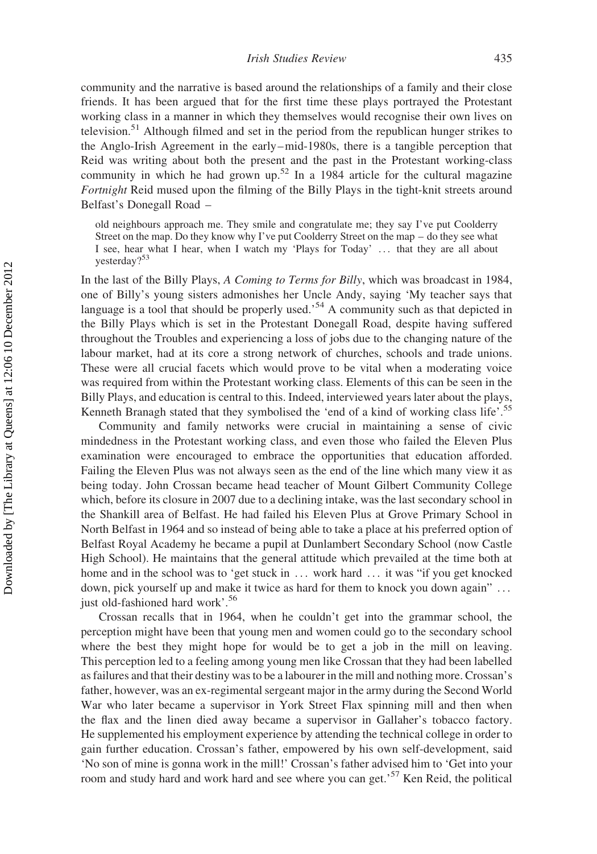community and the narrative is based around the relationships of a family and their close friends. It has been argued that for the first time these plays portrayed the Protestant working class in a manner in which they themselves would recognise their own lives on television.<sup>51</sup> Although filmed and set in the period from the republican hunger strikes to the Anglo-Irish Agreement in the early–mid-1980s, there is a tangible perception that Reid was writing about both the present and the past in the Protestant working-class community in which he had grown up.<sup>52</sup> In a 1984 article for the cultural magazine Fortnight Reid mused upon the filming of the Billy Plays in the tight-knit streets around Belfast's Donegall Road –

old neighbours approach me. They smile and congratulate me; they say I've put Coolderry Street on the map. Do they know why I've put Coolderry Street on the map – do they see what I see, hear what I hear, when I watch my 'Plays for Today' ... that they are all about yesterday?53

In the last of the Billy Plays, A Coming to Terms for Billy, which was broadcast in 1984, one of Billy's young sisters admonishes her Uncle Andy, saying 'My teacher says that language is a tool that should be properly used.'<sup>54</sup> A community such as that depicted in the Billy Plays which is set in the Protestant Donegall Road, despite having suffered throughout the Troubles and experiencing a loss of jobs due to the changing nature of the labour market, had at its core a strong network of churches, schools and trade unions. These were all crucial facets which would prove to be vital when a moderating voice was required from within the Protestant working class. Elements of this can be seen in the Billy Plays, and education is central to this. Indeed, interviewed years later about the plays, Kenneth Branagh stated that they symbolised the 'end of a kind of working class life'.<sup>55</sup>

Community and family networks were crucial in maintaining a sense of civic mindedness in the Protestant working class, and even those who failed the Eleven Plus examination were encouraged to embrace the opportunities that education afforded. Failing the Eleven Plus was not always seen as the end of the line which many view it as being today. John Crossan became head teacher of Mount Gilbert Community College which, before its closure in 2007 due to a declining intake, was the last secondary school in the Shankill area of Belfast. He had failed his Eleven Plus at Grove Primary School in North Belfast in 1964 and so instead of being able to take a place at his preferred option of Belfast Royal Academy he became a pupil at Dunlambert Secondary School (now Castle High School). He maintains that the general attitude which prevailed at the time both at home and in the school was to 'get stuck in ... work hard ... it was "if you get knocked down, pick yourself up and make it twice as hard for them to knock you down again" ... just old-fashioned hard work'.<sup>56</sup>

Crossan recalls that in 1964, when he couldn't get into the grammar school, the perception might have been that young men and women could go to the secondary school where the best they might hope for would be to get a job in the mill on leaving. This perception led to a feeling among young men like Crossan that they had been labelled as failures and that their destiny was to be a labourer in the mill and nothing more. Crossan's father, however, was an ex-regimental sergeant major in the army during the Second World War who later became a supervisor in York Street Flax spinning mill and then when the flax and the linen died away became a supervisor in Gallaher's tobacco factory. He supplemented his employment experience by attending the technical college in order to gain further education. Crossan's father, empowered by his own self-development, said 'No son of mine is gonna work in the mill!' Crossan's father advised him to 'Get into your room and study hard and work hard and see where you can get.<sup>57</sup> Ken Reid, the political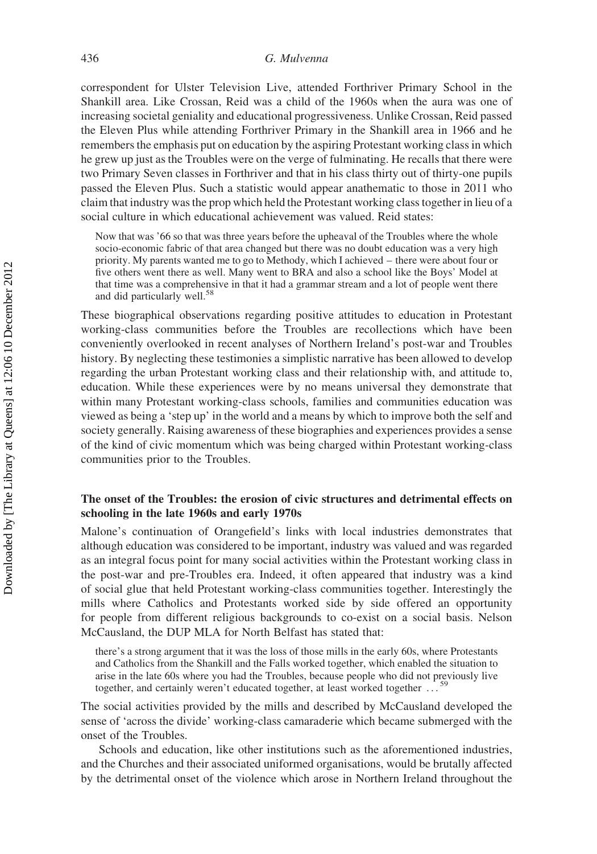#### 436 G. Mulvenna

correspondent for Ulster Television Live, attended Forthriver Primary School in the Shankill area. Like Crossan, Reid was a child of the 1960s when the aura was one of increasing societal geniality and educational progressiveness. Unlike Crossan, Reid passed the Eleven Plus while attending Forthriver Primary in the Shankill area in 1966 and he remembers the emphasis put on education by the aspiring Protestant working class in which he grew up just as the Troubles were on the verge of fulminating. He recalls that there were two Primary Seven classes in Forthriver and that in his class thirty out of thirty-one pupils passed the Eleven Plus. Such a statistic would appear anathematic to those in 2011 who claim that industry was the prop which held the Protestant working class together in lieu of a social culture in which educational achievement was valued. Reid states:

Now that was '66 so that was three years before the upheaval of the Troubles where the whole socio-economic fabric of that area changed but there was no doubt education was a very high priority. My parents wanted me to go to Methody, which I achieved – there were about four or five others went there as well. Many went to BRA and also a school like the Boys' Model at that time was a comprehensive in that it had a grammar stream and a lot of people went there and did particularly well.<sup>58</sup>

These biographical observations regarding positive attitudes to education in Protestant working-class communities before the Troubles are recollections which have been conveniently overlooked in recent analyses of Northern Ireland's post-war and Troubles history. By neglecting these testimonies a simplistic narrative has been allowed to develop regarding the urban Protestant working class and their relationship with, and attitude to, education. While these experiences were by no means universal they demonstrate that within many Protestant working-class schools, families and communities education was viewed as being a 'step up' in the world and a means by which to improve both the self and society generally. Raising awareness of these biographies and experiences provides a sense of the kind of civic momentum which was being charged within Protestant working-class communities prior to the Troubles.

#### The onset of the Troubles: the erosion of civic structures and detrimental effects on schooling in the late 1960s and early 1970s

Malone's continuation of Orangefield's links with local industries demonstrates that although education was considered to be important, industry was valued and was regarded as an integral focus point for many social activities within the Protestant working class in the post-war and pre-Troubles era. Indeed, it often appeared that industry was a kind of social glue that held Protestant working-class communities together. Interestingly the mills where Catholics and Protestants worked side by side offered an opportunity for people from different religious backgrounds to co-exist on a social basis. Nelson McCausland, the DUP MLA for North Belfast has stated that:

there's a strong argument that it was the loss of those mills in the early 60s, where Protestants and Catholics from the Shankill and the Falls worked together, which enabled the situation to arise in the late 60s where you had the Troubles, because people who did not previously live together, and certainly weren't educated together, at least worked together ... <sup>59</sup>

The social activities provided by the mills and described by McCausland developed the sense of 'across the divide' working-class camaraderie which became submerged with the onset of the Troubles.

Schools and education, like other institutions such as the aforementioned industries, and the Churches and their associated uniformed organisations, would be brutally affected by the detrimental onset of the violence which arose in Northern Ireland throughout the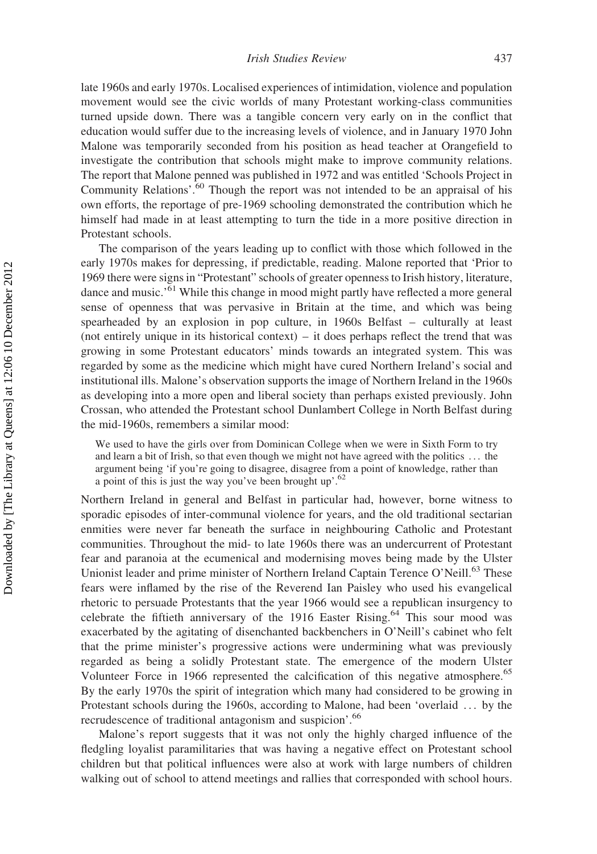late 1960s and early 1970s. Localised experiences of intimidation, violence and population movement would see the civic worlds of many Protestant working-class communities turned upside down. There was a tangible concern very early on in the conflict that education would suffer due to the increasing levels of violence, and in January 1970 John Malone was temporarily seconded from his position as head teacher at Orangefield to investigate the contribution that schools might make to improve community relations. The report that Malone penned was published in 1972 and was entitled 'Schools Project in Community Relations'.<sup>60</sup> Though the report was not intended to be an appraisal of his own efforts, the reportage of pre-1969 schooling demonstrated the contribution which he himself had made in at least attempting to turn the tide in a more positive direction in Protestant schools.

The comparison of the years leading up to conflict with those which followed in the early 1970s makes for depressing, if predictable, reading. Malone reported that 'Prior to 1969 there were signs in "Protestant" schools of greater openness to Irish history, literature, dance and music.'<sup>61</sup> While this change in mood might partly have reflected a more general sense of openness that was pervasive in Britain at the time, and which was being spearheaded by an explosion in pop culture, in 1960s Belfast – culturally at least (not entirely unique in its historical context) – it does perhaps reflect the trend that was growing in some Protestant educators' minds towards an integrated system. This was regarded by some as the medicine which might have cured Northern Ireland's social and institutional ills. Malone's observation supports the image of Northern Ireland in the 1960s as developing into a more open and liberal society than perhaps existed previously. John Crossan, who attended the Protestant school Dunlambert College in North Belfast during the mid-1960s, remembers a similar mood:

We used to have the girls over from Dominican College when we were in Sixth Form to try and learn a bit of Irish, so that even though we might not have agreed with the politics ... the argument being 'if you're going to disagree, disagree from a point of knowledge, rather than a point of this is just the way you've been brought up'.62

Northern Ireland in general and Belfast in particular had, however, borne witness to sporadic episodes of inter-communal violence for years, and the old traditional sectarian enmities were never far beneath the surface in neighbouring Catholic and Protestant communities. Throughout the mid- to late 1960s there was an undercurrent of Protestant fear and paranoia at the ecumenical and modernising moves being made by the Ulster Unionist leader and prime minister of Northern Ireland Captain Terence O'Neill.<sup>63</sup> These fears were inflamed by the rise of the Reverend Ian Paisley who used his evangelical rhetoric to persuade Protestants that the year 1966 would see a republican insurgency to celebrate the fiftieth anniversary of the 1916 Easter Rising.<sup>64</sup> This sour mood was exacerbated by the agitating of disenchanted backbenchers in O'Neill's cabinet who felt that the prime minister's progressive actions were undermining what was previously regarded as being a solidly Protestant state. The emergence of the modern Ulster Volunteer Force in 1966 represented the calcification of this negative atmosphere.<sup>65</sup> By the early 1970s the spirit of integration which many had considered to be growing in Protestant schools during the 1960s, according to Malone, had been 'overlaid ... by the recrudescence of traditional antagonism and suspicion'.<sup>66</sup>

Malone's report suggests that it was not only the highly charged influence of the fledgling loyalist paramilitaries that was having a negative effect on Protestant school children but that political influences were also at work with large numbers of children walking out of school to attend meetings and rallies that corresponded with school hours.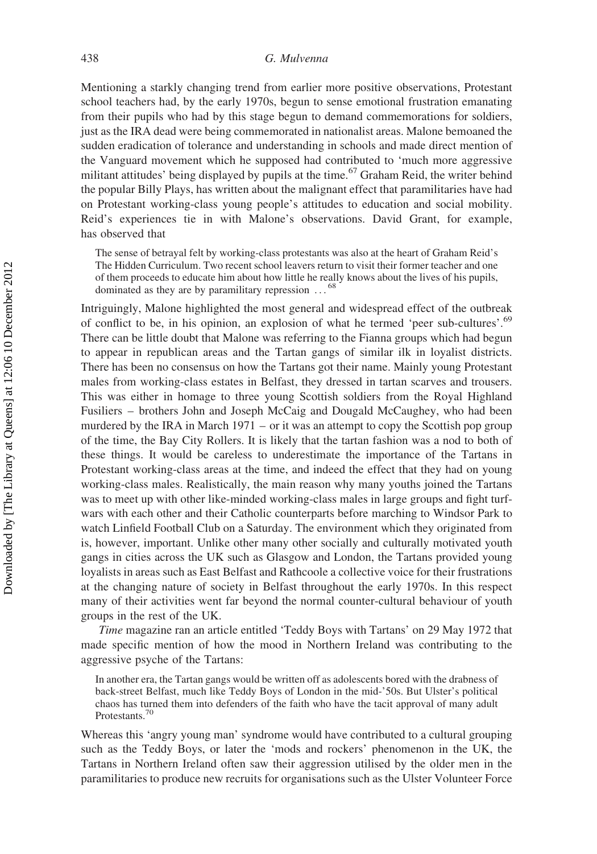Mentioning a starkly changing trend from earlier more positive observations, Protestant school teachers had, by the early 1970s, begun to sense emotional frustration emanating from their pupils who had by this stage begun to demand commemorations for soldiers, just as the IRA dead were being commemorated in nationalist areas. Malone bemoaned the sudden eradication of tolerance and understanding in schools and made direct mention of the Vanguard movement which he supposed had contributed to 'much more aggressive militant attitudes' being displayed by pupils at the time.<sup>67</sup> Graham Reid, the writer behind the popular Billy Plays, has written about the malignant effect that paramilitaries have had on Protestant working-class young people's attitudes to education and social mobility. Reid's experiences tie in with Malone's observations. David Grant, for example, has observed that

The sense of betrayal felt by working-class protestants was also at the heart of Graham Reid's The Hidden Curriculum. Two recent school leavers return to visit their former teacher and one of them proceeds to educate him about how little he really knows about the lives of his pupils, dominated as they are by paramilitary repression ... <sup>68</sup>

Intriguingly, Malone highlighted the most general and widespread effect of the outbreak of conflict to be, in his opinion, an explosion of what he termed 'peer sub-cultures'.<sup>69</sup> There can be little doubt that Malone was referring to the Fianna groups which had begun to appear in republican areas and the Tartan gangs of similar ilk in loyalist districts. There has been no consensus on how the Tartans got their name. Mainly young Protestant males from working-class estates in Belfast, they dressed in tartan scarves and trousers. This was either in homage to three young Scottish soldiers from the Royal Highland Fusiliers – brothers John and Joseph McCaig and Dougald McCaughey, who had been murdered by the IRA in March 1971 – or it was an attempt to copy the Scottish pop group of the time, the Bay City Rollers. It is likely that the tartan fashion was a nod to both of these things. It would be careless to underestimate the importance of the Tartans in Protestant working-class areas at the time, and indeed the effect that they had on young working-class males. Realistically, the main reason why many youths joined the Tartans was to meet up with other like-minded working-class males in large groups and fight turfwars with each other and their Catholic counterparts before marching to Windsor Park to watch Linfield Football Club on a Saturday. The environment which they originated from is, however, important. Unlike other many other socially and culturally motivated youth gangs in cities across the UK such as Glasgow and London, the Tartans provided young loyalists in areas such as East Belfast and Rathcoole a collective voice for their frustrations at the changing nature of society in Belfast throughout the early 1970s. In this respect many of their activities went far beyond the normal counter-cultural behaviour of youth groups in the rest of the UK.

Time magazine ran an article entitled 'Teddy Boys with Tartans' on 29 May 1972 that made specific mention of how the mood in Northern Ireland was contributing to the aggressive psyche of the Tartans:

In another era, the Tartan gangs would be written off as adolescents bored with the drabness of back-street Belfast, much like Teddy Boys of London in the mid-'50s. But Ulster's political chaos has turned them into defenders of the faith who have the tacit approval of many adult Protestants.70

Whereas this 'angry young man' syndrome would have contributed to a cultural grouping such as the Teddy Boys, or later the 'mods and rockers' phenomenon in the UK, the Tartans in Northern Ireland often saw their aggression utilised by the older men in the paramilitaries to produce new recruits for organisations such as the Ulster Volunteer Force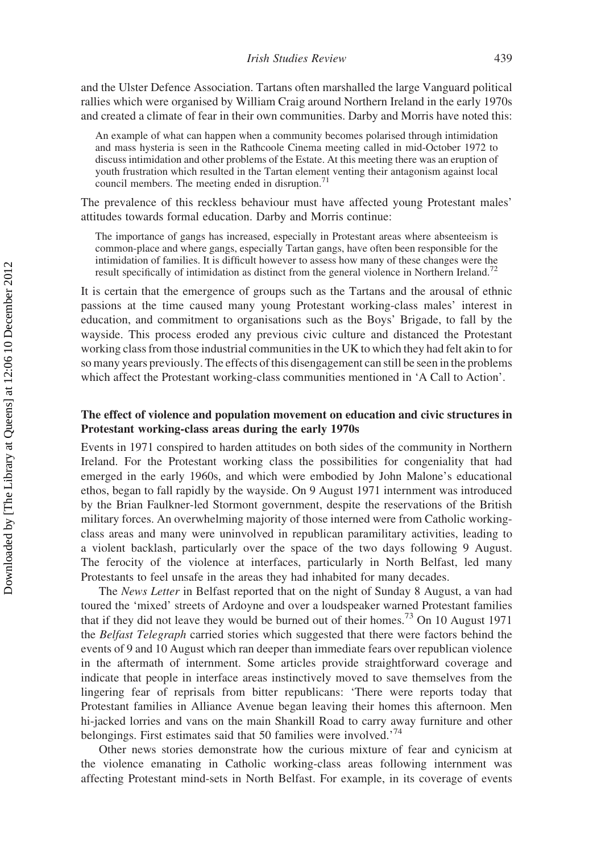and the Ulster Defence Association. Tartans often marshalled the large Vanguard political rallies which were organised by William Craig around Northern Ireland in the early 1970s and created a climate of fear in their own communities. Darby and Morris have noted this:

An example of what can happen when a community becomes polarised through intimidation and mass hysteria is seen in the Rathcoole Cinema meeting called in mid-October 1972 to discuss intimidation and other problems of the Estate. At this meeting there was an eruption of youth frustration which resulted in the Tartan element venting their antagonism against local council members. The meeting ended in disruption.<sup>71</sup>

The prevalence of this reckless behaviour must have affected young Protestant males' attitudes towards formal education. Darby and Morris continue:

The importance of gangs has increased, especially in Protestant areas where absenteeism is common-place and where gangs, especially Tartan gangs, have often been responsible for the intimidation of families. It is difficult however to assess how many of these changes were the result specifically of intimidation as distinct from the general violence in Northern Ireland.<sup>72</sup>

It is certain that the emergence of groups such as the Tartans and the arousal of ethnic passions at the time caused many young Protestant working-class males' interest in education, and commitment to organisations such as the Boys' Brigade, to fall by the wayside. This process eroded any previous civic culture and distanced the Protestant working class from those industrial communities in the UK to which they had felt akin to for so many years previously. The effects of this disengagement can still be seen in the problems which affect the Protestant working-class communities mentioned in 'A Call to Action'.

#### The effect of violence and population movement on education and civic structures in Protestant working-class areas during the early 1970s

Events in 1971 conspired to harden attitudes on both sides of the community in Northern Ireland. For the Protestant working class the possibilities for congeniality that had emerged in the early 1960s, and which were embodied by John Malone's educational ethos, began to fall rapidly by the wayside. On 9 August 1971 internment was introduced by the Brian Faulkner-led Stormont government, despite the reservations of the British military forces. An overwhelming majority of those interned were from Catholic workingclass areas and many were uninvolved in republican paramilitary activities, leading to a violent backlash, particularly over the space of the two days following 9 August. The ferocity of the violence at interfaces, particularly in North Belfast, led many Protestants to feel unsafe in the areas they had inhabited for many decades.

The News Letter in Belfast reported that on the night of Sunday 8 August, a van had toured the 'mixed' streets of Ardoyne and over a loudspeaker warned Protestant families that if they did not leave they would be burned out of their homes.<sup>73</sup> On 10 August 1971 the Belfast Telegraph carried stories which suggested that there were factors behind the events of 9 and 10 August which ran deeper than immediate fears over republican violence in the aftermath of internment. Some articles provide straightforward coverage and indicate that people in interface areas instinctively moved to save themselves from the lingering fear of reprisals from bitter republicans: 'There were reports today that Protestant families in Alliance Avenue began leaving their homes this afternoon. Men hi-jacked lorries and vans on the main Shankill Road to carry away furniture and other belongings. First estimates said that 50 families were involved.<sup>74</sup>

Other news stories demonstrate how the curious mixture of fear and cynicism at the violence emanating in Catholic working-class areas following internment was affecting Protestant mind-sets in North Belfast. For example, in its coverage of events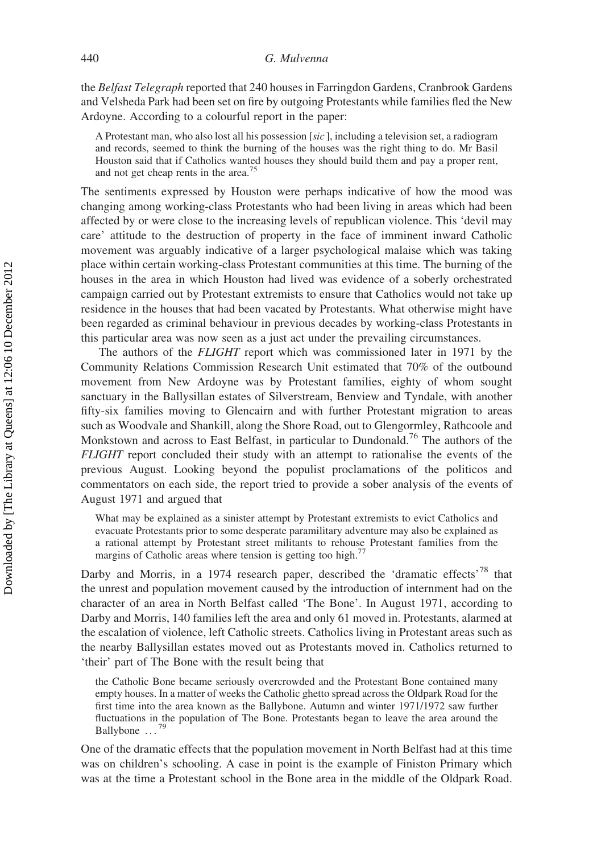the Belfast Telegraph reported that 240 houses in Farringdon Gardens, Cranbrook Gardens and Velsheda Park had been set on fire by outgoing Protestants while families fled the New Ardoyne. According to a colourful report in the paper:

A Protestant man, who also lost all his possession [sic ], including a television set, a radiogram and records, seemed to think the burning of the houses was the right thing to do. Mr Basil Houston said that if Catholics wanted houses they should build them and pay a proper rent, and not get cheap rents in the area.<sup>75</sup>

The sentiments expressed by Houston were perhaps indicative of how the mood was changing among working-class Protestants who had been living in areas which had been affected by or were close to the increasing levels of republican violence. This 'devil may care' attitude to the destruction of property in the face of imminent inward Catholic movement was arguably indicative of a larger psychological malaise which was taking place within certain working-class Protestant communities at this time. The burning of the houses in the area in which Houston had lived was evidence of a soberly orchestrated campaign carried out by Protestant extremists to ensure that Catholics would not take up residence in the houses that had been vacated by Protestants. What otherwise might have been regarded as criminal behaviour in previous decades by working-class Protestants in this particular area was now seen as a just act under the prevailing circumstances.

The authors of the FLIGHT report which was commissioned later in 1971 by the Community Relations Commission Research Unit estimated that 70% of the outbound movement from New Ardoyne was by Protestant families, eighty of whom sought sanctuary in the Ballysillan estates of Silverstream, Benview and Tyndale, with another fifty-six families moving to Glencairn and with further Protestant migration to areas such as Woodvale and Shankill, along the Shore Road, out to Glengormley, Rathcoole and Monkstown and across to East Belfast, in particular to Dundonald.<sup>76</sup> The authors of the FLIGHT report concluded their study with an attempt to rationalise the events of the previous August. Looking beyond the populist proclamations of the politicos and commentators on each side, the report tried to provide a sober analysis of the events of August 1971 and argued that

What may be explained as a sinister attempt by Protestant extremists to evict Catholics and evacuate Protestants prior to some desperate paramilitary adventure may also be explained as a rational attempt by Protestant street militants to rehouse Protestant families from the margins of Catholic areas where tension is getting too high. $17$ 

Darby and Morris, in a 1974 research paper, described the 'dramatic effects'<sup>78</sup> that the unrest and population movement caused by the introduction of internment had on the character of an area in North Belfast called 'The Bone'. In August 1971, according to Darby and Morris, 140 families left the area and only 61 moved in. Protestants, alarmed at the escalation of violence, left Catholic streets. Catholics living in Protestant areas such as the nearby Ballysillan estates moved out as Protestants moved in. Catholics returned to 'their' part of The Bone with the result being that

the Catholic Bone became seriously overcrowded and the Protestant Bone contained many empty houses. In a matter of weeks the Catholic ghetto spread across the Oldpark Road for the first time into the area known as the Ballybone. Autumn and winter 1971/1972 saw further fluctuations in the population of The Bone. Protestants began to leave the area around the Ballybone ... <sup>79</sup>

One of the dramatic effects that the population movement in North Belfast had at this time was on children's schooling. A case in point is the example of Finiston Primary which was at the time a Protestant school in the Bone area in the middle of the Oldpark Road.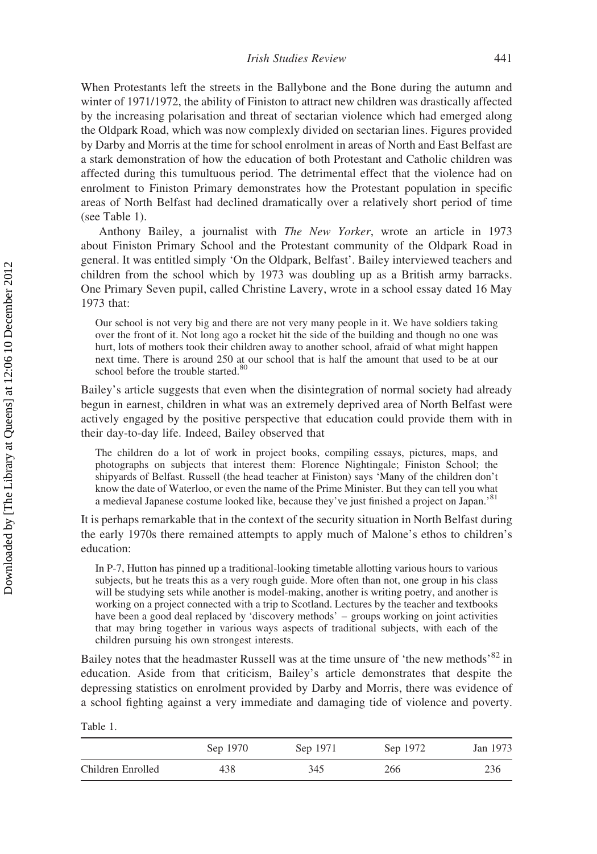When Protestants left the streets in the Ballybone and the Bone during the autumn and winter of 1971/1972, the ability of Finiston to attract new children was drastically affected by the increasing polarisation and threat of sectarian violence which had emerged along the Oldpark Road, which was now complexly divided on sectarian lines. Figures provided by Darby and Morris at the time for school enrolment in areas of North and East Belfast are a stark demonstration of how the education of both Protestant and Catholic children was affected during this tumultuous period. The detrimental effect that the violence had on enrolment to Finiston Primary demonstrates how the Protestant population in specific areas of North Belfast had declined dramatically over a relatively short period of time (see Table 1).

Anthony Bailey, a journalist with The New Yorker, wrote an article in 1973 about Finiston Primary School and the Protestant community of the Oldpark Road in general. It was entitled simply 'On the Oldpark, Belfast'. Bailey interviewed teachers and children from the school which by 1973 was doubling up as a British army barracks. One Primary Seven pupil, called Christine Lavery, wrote in a school essay dated 16 May 1973 that:

Our school is not very big and there are not very many people in it. We have soldiers taking over the front of it. Not long ago a rocket hit the side of the building and though no one was hurt, lots of mothers took their children away to another school, afraid of what might happen next time. There is around 250 at our school that is half the amount that used to be at our school before the trouble started.<sup>80</sup>

Bailey's article suggests that even when the disintegration of normal society had already begun in earnest, children in what was an extremely deprived area of North Belfast were actively engaged by the positive perspective that education could provide them with in their day-to-day life. Indeed, Bailey observed that

The children do a lot of work in project books, compiling essays, pictures, maps, and photographs on subjects that interest them: Florence Nightingale; Finiston School; the shipyards of Belfast. Russell (the head teacher at Finiston) says 'Many of the children don't know the date of Waterloo, or even the name of the Prime Minister. But they can tell you what a medieval Japanese costume looked like, because they've just finished a project on Japan.'81

It is perhaps remarkable that in the context of the security situation in North Belfast during the early 1970s there remained attempts to apply much of Malone's ethos to children's education:

In P-7, Hutton has pinned up a traditional-looking timetable allotting various hours to various subjects, but he treats this as a very rough guide. More often than not, one group in his class will be studying sets while another is model-making, another is writing poetry, and another is working on a project connected with a trip to Scotland. Lectures by the teacher and textbooks have been a good deal replaced by 'discovery methods' – groups working on joint activities that may bring together in various ways aspects of traditional subjects, with each of the children pursuing his own strongest interests.

Bailey notes that the headmaster Russell was at the time unsure of 'the new methods'<sup>82</sup> in education. Aside from that criticism, Bailey's article demonstrates that despite the depressing statistics on enrolment provided by Darby and Morris, there was evidence of a school fighting against a very immediate and damaging tide of violence and poverty.

|                   | Sep 1970 | Sep 1971 | Sep 1972 | Jan 1973 |
|-------------------|----------|----------|----------|----------|
| Children Enrolled | 438      | 345      | 266      | 236      |

| ٧ |  |
|---|--|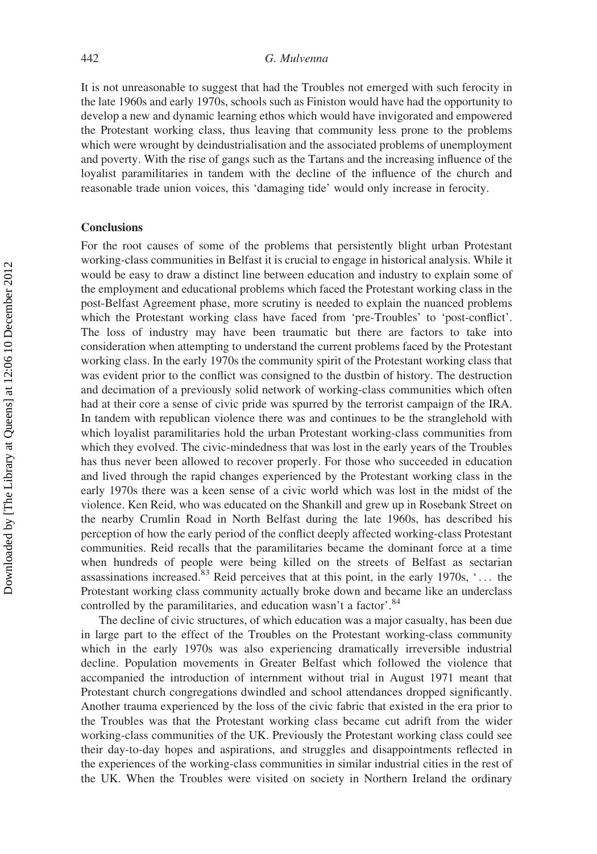It is not unreasonable to suggest that had the Troubles not emerged with such ferocity in the late 1960s and early 1970s, schools such as Finiston would have had the opportunity to develop a new and dynamic learning ethos which would have invigorated and empowered the Protestant working class, thus leaving that community less prone to the problems which were wrought by deindustrialisation and the associated problems of unemployment and poverty. With the rise of gangs such as the Tartans and the increasing influence of the loyalist paramilitaries in tandem with the decline of the influence of the church and reasonable trade union voices, this 'damaging tide' would only increase in ferocity.

#### Conclusions

For the root causes of some of the problems that persistently blight urban Protestant working-class communities in Belfast it is crucial to engage in historical analysis. While it would be easy to draw a distinct line between education and industry to explain some of the employment and educational problems which faced the Protestant working class in the post-Belfast Agreement phase, more scrutiny is needed to explain the nuanced problems which the Protestant working class have faced from 'pre-Troubles' to 'post-conflict'. The loss of industry may have been traumatic but there are factors to take into consideration when attempting to understand the current problems faced by the Protestant working class. In the early 1970s the community spirit of the Protestant working class that was evident prior to the conflict was consigned to the dustbin of history. The destruction and decimation of a previously solid network of working-class communities which often had at their core a sense of civic pride was spurred by the terrorist campaign of the IRA. In tandem with republican violence there was and continues to be the stranglehold with which loyalist paramilitaries hold the urban Protestant working-class communities from which they evolved. The civic-mindedness that was lost in the early years of the Troubles has thus never been allowed to recover properly. For those who succeeded in education and lived through the rapid changes experienced by the Protestant working class in the early 1970s there was a keen sense of a civic world which was lost in the midst of the violence. Ken Reid, who was educated on the Shankill and grew up in Rosebank Street on the nearby Crumlin Road in North Belfast during the late 1960s, has described his perception of how the early period of the conflict deeply affected working-class Protestant communities. Reid recalls that the paramilitaries became the dominant force at a time when hundreds of people were being killed on the streets of Belfast as sectarian assassinations increased.<sup>83</sup> Reid perceives that at this point, in the early 1970s, '... the Protestant working class community actually broke down and became like an underclass controlled by the paramilitaries, and education wasn't a factor'.<sup>84</sup>

The decline of civic structures, of which education was a major casualty, has been due in large part to the effect of the Troubles on the Protestant working-class community which in the early 1970s was also experiencing dramatically irreversible industrial decline. Population movements in Greater Belfast which followed the violence that accompanied the introduction of internment without trial in August 1971 meant that Protestant church congregations dwindled and school attendances dropped significantly. Another trauma experienced by the loss of the civic fabric that existed in the era prior to the Troubles was that the Protestant working class became cut adrift from the wider working-class communities of the UK. Previously the Protestant working class could see their day-to-day hopes and aspirations, and struggles and disappointments reflected in the experiences of the working-class communities in similar industrial cities in the rest of the UK. When the Troubles were visited on society in Northern Ireland the ordinary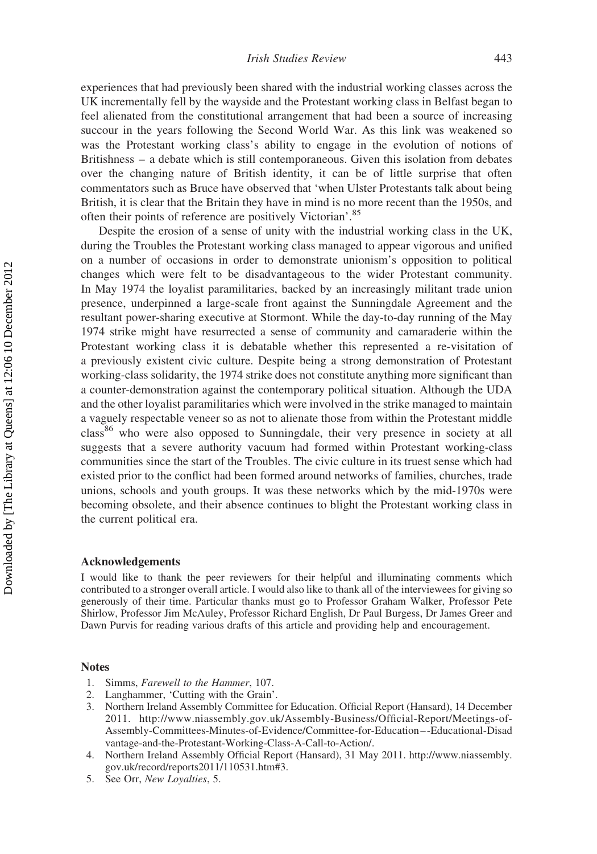experiences that had previously been shared with the industrial working classes across the UK incrementally fell by the wayside and the Protestant working class in Belfast began to feel alienated from the constitutional arrangement that had been a source of increasing succour in the years following the Second World War. As this link was weakened so was the Protestant working class's ability to engage in the evolution of notions of Britishness – a debate which is still contemporaneous. Given this isolation from debates over the changing nature of British identity, it can be of little surprise that often commentators such as Bruce have observed that 'when Ulster Protestants talk about being British, it is clear that the Britain they have in mind is no more recent than the 1950s, and often their points of reference are positively Victorian'.<sup>85</sup>

Despite the erosion of a sense of unity with the industrial working class in the UK, during the Troubles the Protestant working class managed to appear vigorous and unified on a number of occasions in order to demonstrate unionism's opposition to political changes which were felt to be disadvantageous to the wider Protestant community. In May 1974 the loyalist paramilitaries, backed by an increasingly militant trade union presence, underpinned a large-scale front against the Sunningdale Agreement and the resultant power-sharing executive at Stormont. While the day-to-day running of the May 1974 strike might have resurrected a sense of community and camaraderie within the Protestant working class it is debatable whether this represented a re-visitation of a previously existent civic culture. Despite being a strong demonstration of Protestant working-class solidarity, the 1974 strike does not constitute anything more significant than a counter-demonstration against the contemporary political situation. Although the UDA and the other loyalist paramilitaries which were involved in the strike managed to maintain a vaguely respectable veneer so as not to alienate those from within the Protestant middle class<sup>86</sup> who were also opposed to Sunningdale, their very presence in society at all suggests that a severe authority vacuum had formed within Protestant working-class communities since the start of the Troubles. The civic culture in its truest sense which had existed prior to the conflict had been formed around networks of families, churches, trade unions, schools and youth groups. It was these networks which by the mid-1970s were becoming obsolete, and their absence continues to blight the Protestant working class in the current political era.

#### Acknowledgements

I would like to thank the peer reviewers for their helpful and illuminating comments which contributed to a stronger overall article. I would also like to thank all of the interviewees for giving so generously of their time. Particular thanks must go to Professor Graham Walker, Professor Pete Shirlow, Professor Jim McAuley, Professor Richard English, Dr Paul Burgess, Dr James Greer and Dawn Purvis for reading various drafts of this article and providing help and encouragement.

#### Notes

- Simms, Farewell to the Hammer, 107.
- 2. Langhammer, 'Cutting with the Grain'.
- 3. Northern Ireland Assembly Committee for Education. Official Report (Hansard), 14 December 2011. [http://www.niassembly.gov.uk/Assembly-Business/Official-Report/Meetings-of-](http://www.niassembly.gov.uk/Assembly-Business/Official-Report/Meetings-of-Assembly-Committees-Minutes-of-Evidence/Committee-for-Education–-Educational-Disadvantage-and-the-Protestant-Working-Class-A-Call-to-Action/)[Assembly-Committees-Minutes-of-Evidence/Committee-for-Education–-Educational-Disad](http://www.niassembly.gov.uk/Assembly-Business/Official-Report/Meetings-of-Assembly-Committees-Minutes-of-Evidence/Committee-for-Education–-Educational-Disadvantage-and-the-Protestant-Working-Class-A-Call-to-Action/) [vantage-and-the-Protestant-Working-Class-A-Call-to-Action/](http://www.niassembly.gov.uk/Assembly-Business/Official-Report/Meetings-of-Assembly-Committees-Minutes-of-Evidence/Committee-for-Education–-Educational-Disadvantage-and-the-Protestant-Working-Class-A-Call-to-Action/).
- 4. Northern Ireland Assembly Official Report (Hansard), 31 May 2011. [http://www.niassembly.](http://www.niassembly.gov.uk/record/reports2011/110531.htm#3) [gov.uk/record/reports2011/110531.htm#3.](http://www.niassembly.gov.uk/record/reports2011/110531.htm#3)
- See Orr, New Loyalties, 5.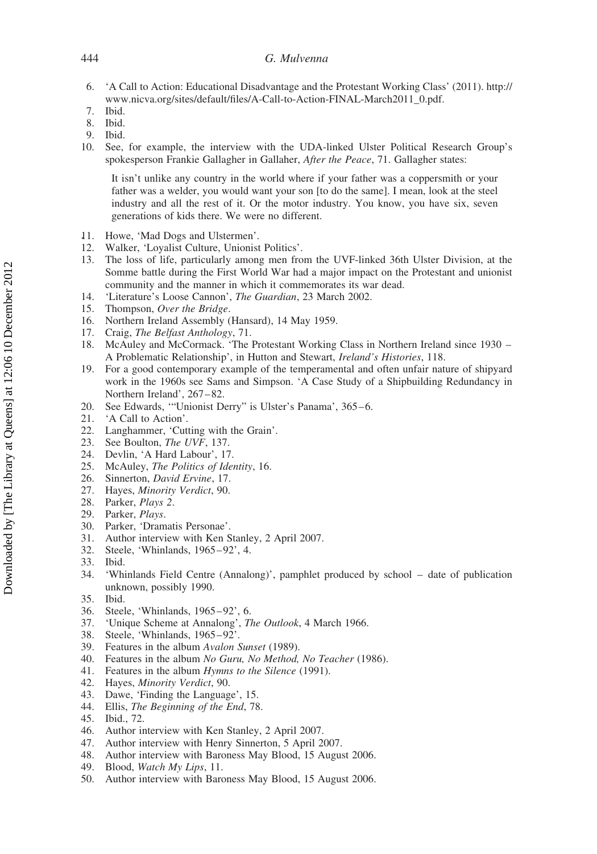#### 444 G. Mulvenna

- 6. 'A Call to Action: Educational Disadvantage and the Protestant Working Class' (2011). [http://](http://www.nicva.org/sites/default/files/A-Call-to-Action-FINAL-March2011_0.pdf) [www.nicva.org/sites/default/files/A-Call-to-Action-FINAL-March2011\\_0.pdf](http://www.nicva.org/sites/default/files/A-Call-to-Action-FINAL-March2011_0.pdf).
- 7. Ibid.
- 8. Ibid.
- 9. Ibid.
- 10. See, for example, the interview with the UDA-linked Ulster Political Research Group's spokesperson Frankie Gallagher in Gallaher, After the Peace, 71. Gallagher states:

It isn't unlike any country in the world where if your father was a coppersmith or your father was a welder, you would want your son [to do the same]. I mean, look at the steel industry and all the rest of it. Or the motor industry. You know, you have six, seven generations of kids there. We were no different.

- . Howe, 'Mad Dogs and Ulstermen'.
- 12. Walker, 'Loyalist Culture, Unionist Politics'.
- 13. The loss of life, particularly among men from the UVF-linked 36th Ulster Division, at the Somme battle during the First World War had a major impact on the Protestant and unionist community and the manner in which it commemorates its war dead.
- 14. 'Literature's Loose Cannon', The Guardian, 23 March 2002.
- 15. Thompson, Over the Bridge.
- 16. Northern Ireland Assembly (Hansard), 14 May 1959.
- 17. Craig, The Belfast Anthology, 71.
- 18. McAuley and McCormack. 'The Protestant Working Class in Northern Ireland since 1930 A Problematic Relationship', in Hutton and Stewart, Ireland's Histories, 118.
- 19. For a good contemporary example of the temperamental and often unfair nature of shipyard work in the 1960s see Sams and Simpson. 'A Case Study of a Shipbuilding Redundancy in Northern Ireland', 267–82.
- 20. See Edwards, '"Unionist Derry" is Ulster's Panama', 365–6.
- 21. 'A Call to Action'.
- 22. Langhammer, 'Cutting with the Grain'.
- 23. See Boulton, The UVF, 137.
- 24. Devlin, 'A Hard Labour', 17.
- 25. McAuley, The Politics of Identity, 16.
- 26. Sinnerton, David Ervine, 17.
- 27. Hayes, Minority Verdict, 90.
- 28. Parker, Plays 2.
- 29. Parker, Plays.
- 30. Parker, 'Dramatis Personae'.
- 31. Author interview with Ken Stanley, 2 April 2007.
- 32. Steele, 'Whinlands, 1965–92', 4.
- 33. Ibid.
- 34. 'Whinlands Field Centre (Annalong)', pamphlet produced by school date of publication unknown, possibly 1990.
- 35. Ibid.
- 36. Steele, 'Whinlands, 1965–92', 6.
- 37. 'Unique Scheme at Annalong', The Outlook, 4 March 1966.
- 38. Steele, 'Whinlands, 1965–92'.
- 39. Features in the album Avalon Sunset (1989).
- 40. Features in the album No Guru, No Method, No Teacher (1986).
- 41. Features in the album *Hymns to the Silence* (1991).
- 42. Hayes, Minority Verdict, 90.
- 43. Dawe, 'Finding the Language', 15.
- 44. Ellis, The Beginning of the End, 78.
- 45. Ibid., 72.
- 46. Author interview with Ken Stanley, 2 April 2007.
- 47. Author interview with Henry Sinnerton, 5 April 2007.
- 48. Author interview with Baroness May Blood, 15 August 2006.
- 49. Blood, Watch My Lips, 11.
- 50. Author interview with Baroness May Blood, 15 August 2006.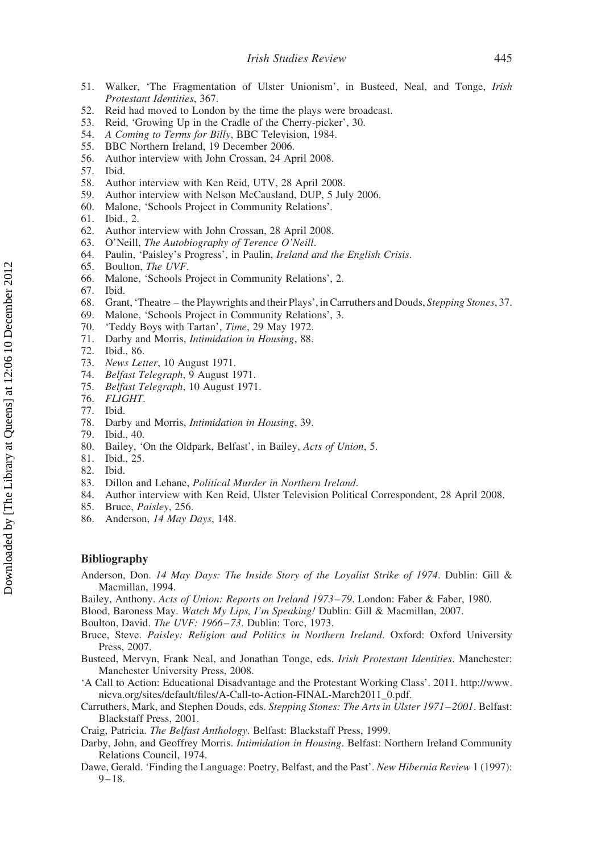- 51. Walker, 'The Fragmentation of Ulster Unionism', in Busteed, Neal, and Tonge, Irish Protestant Identities, 367.
- 52. Reid had moved to London by the time the plays were broadcast.
- 53. Reid, 'Growing Up in the Cradle of the Cherry-picker', 30.
- 54. A Coming to Terms for Billy, BBC Television, 1984.
- 55. BBC Northern Ireland, 19 December 2006.
- 56. Author interview with John Crossan, 24 April 2008.
- 57. Ibid.
- 58. Author interview with Ken Reid, UTV, 28 April 2008.
- 59. Author interview with Nelson McCausland, DUP, 5 July 2006.
- 60. Malone, 'Schools Project in Community Relations'.
- 61. Ibid., 2.
- 62. Author interview with John Crossan, 28 April 2008.
- 63. O'Neill, The Autobiography of Terence O'Neill.
- 64. Paulin, 'Paisley's Progress', in Paulin, Ireland and the English Crisis.
- 65. Boulton, The UVF.
- 66. Malone, 'Schools Project in Community Relations', 2.
- 67. Ibid.
- 68. Grant, 'Theatre the Playwrights and their Plays', in Carruthers and Douds, Stepping Stones, 37.
- 69. Malone, 'Schools Project in Community Relations', 3.
- 70. 'Teddy Boys with Tartan', Time, 29 May 1972.
- 71. Darby and Morris, Intimidation in Housing, 88.
- Ibid., 86.
- 73. News Letter, 10 August 1971.
- 74. Belfast Telegraph, 9 August 1971.
- 75. Belfast Telegraph, 10 August 1971.
- 76. FLIGHT.
- 77. Ibid.
- 78. Darby and Morris, Intimidation in Housing, 39.
- 79. Ibid., 40.
- 80. Bailey, 'On the Oldpark, Belfast', in Bailey, Acts of Union, 5.
- 81. Ibid., 25.
- 82. Ibid.
- 83. Dillon and Lehane, Political Murder in Northern Ireland.
- 84. Author interview with Ken Reid, Ulster Television Political Correspondent, 28 April 2008.
- 85. Bruce, Paisley, 256.
- 86. Anderson, 14 May Days, 148.

#### **Bibliography**

- Anderson, Don. 14 May Days: The Inside Story of the Loyalist Strike of 1974. Dublin: Gill & Macmillan, 1994.
- Bailey, Anthony. Acts of Union: Reports on Ireland 1973– 79. London: Faber & Faber, 1980.
- Blood, Baroness May. Watch My Lips, I'm Speaking! Dublin: Gill & Macmillan, 2007.

Boulton, David. The UVF: 1966– 73. Dublin: Torc, 1973.

- Bruce, Steve. Paisley: Religion and Politics in Northern Ireland. Oxford: Oxford University Press, 2007.
- Busteed, Mervyn, Frank Neal, and Jonathan Tonge, eds. Irish Protestant Identities. Manchester: Manchester University Press, 2008.

'A Call to Action: Educational Disadvantage and the Protestant Working Class'. 2011. [http://www.](http://www.nicva.org/sites/default/files/A-Call-to-Action-FINAL-March2011_0.pdf) [nicva.org/sites/default/files/A-Call-to-Action-FINAL-March2011\\_0.pdf.](http://www.nicva.org/sites/default/files/A-Call-to-Action-FINAL-March2011_0.pdf)

Carruthers, Mark, and Stephen Douds, eds. Stepping Stones: The Arts in Ulster 1971– 2001. Belfast: Blackstaff Press, 2001.

Craig, Patricia. The Belfast Anthology. Belfast: Blackstaff Press, 1999.

- Darby, John, and Geoffrey Morris. Intimidation in Housing. Belfast: Northern Ireland Community Relations Council, 1974.
- Dawe, Gerald. 'Finding the Language: Poetry, Belfast, and the Past'. New Hibernia Review 1 (1997):  $9 - 18.$